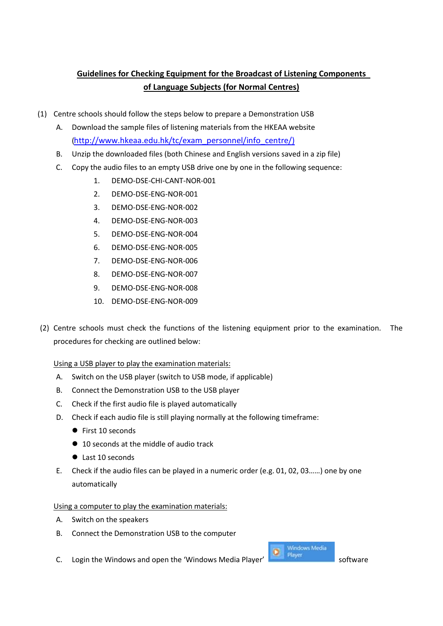## **Guidelines for Checking Equipment for the Broadcast of Listening Components of Language Subjects (for Normal Centres)**

- (1) Centre schools should follow the steps below to prepare a Demonstration USB
	- A. Download the sample files of listening materials from the HKEAA website [\(http://www.hkeaa.edu.hk/tc/exam\\_personnel/info\\_centre/\)](http://www.hkeaa.edu.hk/tc/exam_personnel/info_centre/)
	- B. Unzip the downloaded files (both Chinese and English versions saved in a zip file)
	- C. Copy the audio files to an empty USB drive one by one in the following sequence:
		- 1. DEMO-DSE-CHI-CANT-NOR-001
		- 2. DEMO-DSE-ENG-NOR-001
		- 3. DEMO-DSE-ENG-NOR-002
		- 4. DEMO-DSE-ENG-NOR-003
		- 5. DEMO-DSE-ENG-NOR-004
		- 6. DEMO-DSE-ENG-NOR-005
		- 7. DEMO-DSE-ENG-NOR-006
		- 8. DEMO-DSE-ENG-NOR-007
		- 9. DEMO-DSE-ENG-NOR-008
		- 10. DEMO-DSE-ENG-NOR-009
- (2) Centre schools must check the functions of the listening equipment prior to the examination. The procedures for checking are outlined below:

Using a USB player to play the examination materials:

- A. Switch on the USB player (switch to USB mode, if applicable)
- B. Connect the Demonstration USB to the USB player
- C. Check if the first audio file is played automatically
- D. Check if each audio file is still playing normally at the following timeframe:
	- First 10 seconds
	- 10 seconds at the middle of audio track
	- Last 10 seconds
- E. Check if the audio files can be played in a numeric order (e.g. 01, 02, 03……) one by one automatically

Using a computer to play the examination materials:

- A. Switch on the speakers
- B. Connect the Demonstration USB to the computer
- C. Login the Windows and open the 'Windows Media Player'  $\frac{1}{\sqrt{2}}$  Player